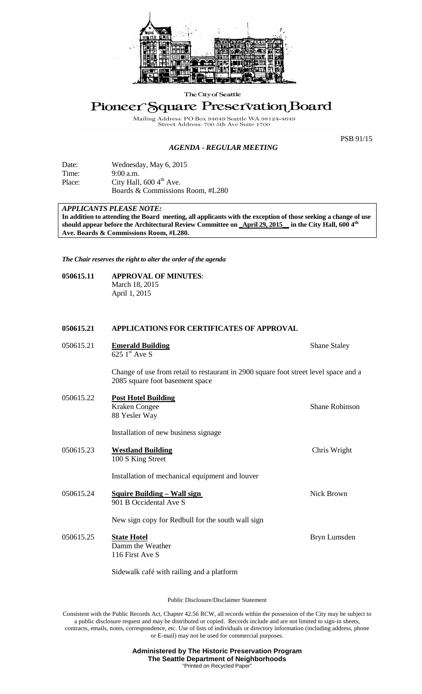

The City of Seattle

# Pioneer Square Preservation Board

Mailing Address: PO Box 94649 Seattle WA 98<br>Street Address: 700 5th Ave Suite 1700 98124-4649

PSB 91/15

# *AGENDA - REGULAR MEETING*

| Date:  | Wednesday, May 6, 2015               |
|--------|--------------------------------------|
| Time:  | $9:00$ a.m.                          |
| Place: | City Hall, $600\,4^{\text{th}}$ Ave. |
|        | Boards & Commissions Room, #L280     |

*APPLICANTS PLEASE NOTE:* 

**In addition to attending the Board meeting, all applicants with the exception of those seeking a change of use should appear before the Architectural Review Committee on \_April 29, 2015\_\_ in the City Hall, 600 4th Ave. Boards & Commissions Room, #L280.**

*The Chair reserves the right to alter the order of the agenda*

#### **050615.11 APPROVAL OF MINUTES**: March 18, 2015 April 1, 2015

## **050615.21 APPLICATIONS FOR CERTIFICATES OF APPROVAL**

| 050615.21 | <b>Emerald Building</b><br>625 $1st$ Ave S                                                                              | <b>Shane Staley</b> |
|-----------|-------------------------------------------------------------------------------------------------------------------------|---------------------|
|           | Change of use from retail to restaurant in 2900 square foot street level space and a<br>2085 square foot basement space |                     |
| 050615.22 | <b>Post Hotel Building</b><br>Kraken Congee<br>88 Yesler Way                                                            | Shane Robinson      |
|           | Installation of new business signage                                                                                    |                     |
| 050615.23 | <b>Westland Building</b><br>100 S King Street                                                                           | Chris Wright        |
|           | Installation of mechanical equipment and louver                                                                         |                     |
| 050615.24 | <b>Squire Building - Wall sign</b><br>901 B Occidental Ave S                                                            | Nick Brown          |
|           | New sign copy for Redbull for the south wall sign                                                                       |                     |
| 050615.25 | <b>State Hotel</b><br>Damm the Weather<br>116 First Ave S                                                               | Bryn Lumsden        |
|           | Sidewalk café with railing and a platform                                                                               |                     |

Public Disclosure/Disclaimer Statement

Consistent with the Public Records Act, Chapter 42.56 RCW, all records within the possession of the City may be subject to a public disclosure request and may be distributed or copied. Records include and are not limited to sign-in sheets, contracts, emails, notes, correspondence, etc. Use of lists of individuals or directory information (including address, phone or E-mail) may not be used for commercial purposes.

> **Administered by The Historic Preservation Program The Seattle Department of Neighborhoods** "Printed on Recycled Pape